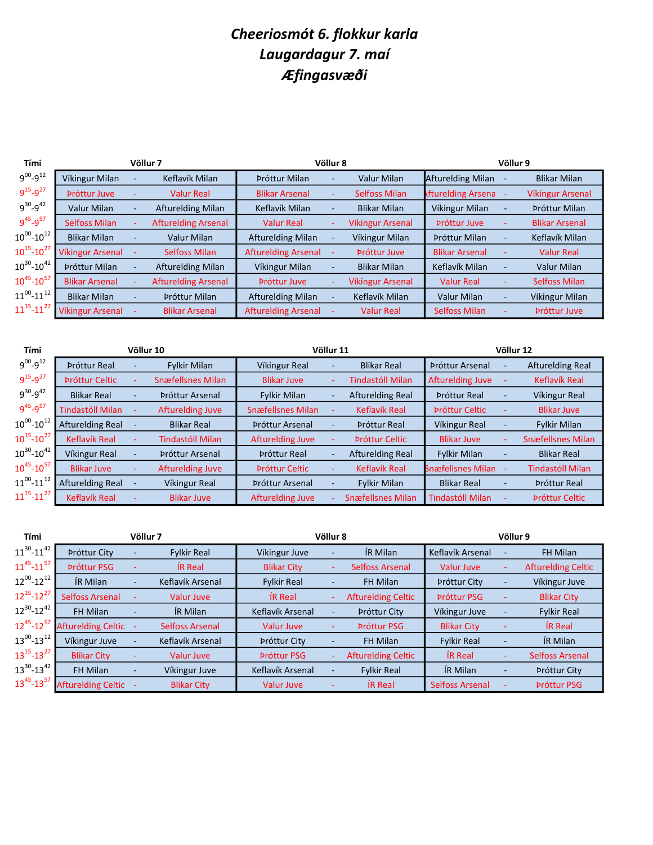## Cheeriosmót 6. flokkur karla Laugardagur 7. maí Æfingasvæði

| Tími                  |                       | Völlur 7                   | Völlur 8                   |                          | Völlur 9                |                           |                          |                         |
|-----------------------|-----------------------|----------------------------|----------------------------|--------------------------|-------------------------|---------------------------|--------------------------|-------------------------|
| $9^{00} - 9^{12}$     | Víkingur Milan        | Keflavík Milan             | Þróttur Milan              | $\overline{\phantom{a}}$ | <b>Valur Milan</b>      | <b>Afturelding Milan</b>  |                          | <b>Blikar Milan</b>     |
| $9^{15} - 9^{27}$     | Próttur Juve          | <b>Valur Real</b>          | <b>Blikar Arsenal</b>      |                          | <b>Selfoss Milan</b>    | <b>Afturelding Arsena</b> |                          | <b>Víkingur Arsenal</b> |
| $9^{30} - 9^{42}$     | Valur Milan           | <b>Afturelding Milan</b>   | Keflavík Milan             |                          | <b>Blikar Milan</b>     | Víkingur Milan            |                          | Þróttur Milan           |
| $9^{45} - 9^{57}$     | <b>Selfoss Milan</b>  | <b>Afturelding Arsenal</b> | <b>Valur Real</b>          | ÷.                       | <b>Víkingur Arsenal</b> | Próttur Juve              |                          | <b>Blikar Arsenal</b>   |
| $10^{00}$ - $10^{12}$ | <b>Blikar Milan</b>   | Valur Milan                | <b>Afturelding Milan</b>   |                          | Víkingur Milan          | Þróttur Milan             |                          | Keflavík Milan          |
| $10^{15} - 10^{27}$   | Víkingur Arsenal      | Selfoss Milan              | <b>Afturelding Arsenal</b> |                          | <b>Próttur Juve</b>     | <b>Blikar Arsenal</b>     |                          | <b>Valur Real</b>       |
| $10^{30}$ - $10^{42}$ | Þróttur Milan         | <b>Afturelding Milan</b>   | Víkingur Milan             |                          | <b>Blikar Milan</b>     | Keflavík Milan            | ٠                        | Valur Milan             |
| $10^{45}$ - $10^{57}$ | <b>Blikar Arsenal</b> | <b>Afturelding Arsenal</b> | Próttur Juve               | ٠                        | <b>Víkingur Arsenal</b> | <b>Valur Real</b>         | ٠                        | <b>Selfoss Milan</b>    |
| $11^{00}$ - $11^{12}$ | <b>Blikar Milan</b>   | Þróttur Milan              | <b>Afturelding Milan</b>   | $\overline{\phantom{0}}$ | Keflavík Milan          | <b>Valur Milan</b>        | $\overline{\phantom{a}}$ | Víkingur Milan          |
| $11^{15} - 11^{27}$   | Víkingur Arsenal      | <b>Blikar Arsenal</b>      | <b>Afturelding Arsenal</b> |                          | <b>Valur Real</b>       | <b>Selfoss Milan</b>      |                          | <b>Próttur Juve</b>     |

| Tími                  |                         | Völlur 10 |                          |                          | Völlur 11                |                          | Völlur 12                |                          |                          |  |
|-----------------------|-------------------------|-----------|--------------------------|--------------------------|--------------------------|--------------------------|--------------------------|--------------------------|--------------------------|--|
| $9^{00} - 9^{12}$     | <b>Próttur Real</b>     |           | <b>Fylkir Milan</b>      | Víkingur Real            | ٠                        | <b>Blikar Real</b>       | Þróttur Arsenal          |                          | Afturelding Real         |  |
| $9^{15} - 9^{27}$     | <b>Próttur Celtic</b>   |           | <b>Snæfellsnes Milan</b> | <b>Blikar Juve</b>       |                          | Tindastóll Milan         | <b>Afturelding Juve</b>  |                          | Keflavík Real            |  |
| $9^{30} - 9^{42}$     | <b>Blikar Real</b>      |           | Próttur Arsenal          | <b>Fylkir Milan</b>      |                          | Afturelding Real         | <b>Próttur Real</b>      |                          | Víkingur Real            |  |
| $9^{45} - 9^{57}$     | <b>Tindastóll Milan</b> |           | <b>Afturelding Juve</b>  | <b>Snæfellsnes Milan</b> |                          | <b>Keflavík Real</b>     | <b>Próttur Celtic</b>    |                          | <b>Blikar Juve</b>       |  |
| $10^{00}$ - $10^{12}$ | <b>Afturelding Real</b> |           | <b>Blikar Real</b>       | Þróttur Arsenal          | ۰                        | <b>Próttur Real</b>      | Víkingur Real            | ٠                        | <b>Fylkir Milan</b>      |  |
| $10^{15} - 10^{27}$   | <b>Keflavík Real</b>    |           | Tindastóll Milan         | <b>Afturelding Juve</b>  |                          | <b>Próttur Celtic</b>    | <b>Blikar Juve</b>       |                          | <b>Snæfellsnes Milan</b> |  |
| $10^{30}$ - $10^{42}$ | Víkingur Real           |           | <b>Próttur Arsenal</b>   | <b>Próttur Real</b>      | $\overline{\phantom{a}}$ | Afturelding Real         | <b>Fylkir Milan</b>      |                          | <b>Blikar Real</b>       |  |
| $10^{45} - 10^{57}$   | <b>Blikar Juve</b>      |           | Afturelding Juve         | <b>Próttur Celtic</b>    |                          | Keflavík Real            | <b>Snæfellsnes Milan</b> |                          | <b>Tindastóll Milan</b>  |  |
| $11^{00}$ - $11^{12}$ | <b>Afturelding Real</b> |           | Víkingur Real            | Þróttur Arsenal          | ۰                        | <b>Fylkir Milan</b>      | <b>Blikar Real</b>       | ٠                        | <b>Próttur Real</b>      |  |
| $11^{15} - 11^{27}$   | <b>Keflavík Real</b>    |           | <b>Blikar Juve</b>       | Afturelding Juve         | ÷.                       | <b>Snæfellsnes Milan</b> | <b>Tindastóll Milan</b>  | $\overline{\phantom{0}}$ | <b>Próttur Celtic</b>    |  |

| Tími                |                           | Völlur 7 | Völlur 8           |                     | Völlur 9 |                           |                        |                          |                           |
|---------------------|---------------------------|----------|--------------------|---------------------|----------|---------------------------|------------------------|--------------------------|---------------------------|
| $11^{30} - 11^{42}$ | <b>Próttur City</b>       |          | <b>Fylkir Real</b> | Víkingur Juve       | ٠        | ÍR Milan                  | Keflavík Arsenal       | $\overline{\phantom{0}}$ | FH Milan                  |
| $11^{45} - 11^{57}$ | <b>Próttur PSG</b>        |          | <b>IR Real</b>     | <b>Blikar City</b>  | ٠        | <b>Selfoss Arsenal</b>    | <b>Valur Juve</b>      | ٠                        | <b>Afturelding Celtic</b> |
| $12^{00} - 12^{12}$ | IR Milan                  | ٠        | Keflavík Arsenal   | <b>Fylkir Real</b>  | ٠        | FH Milan                  | <b>Próttur City</b>    | ٠                        | Víkingur Juve             |
| $12^{15} - 12^{27}$ | Selfoss Arsenal           |          | Valur Juve         | <b>IR Real</b>      |          | <b>Afturelding Celtic</b> | <b>Próttur PSG</b>     |                          | <b>Blikar City</b>        |
| $12^{30} - 12^{42}$ | FH Milan                  |          | IR Milan           | Keflavík Arsenal    | ٠        | <b>Próttur City</b>       | Víkingur Juve          |                          | <b>Fylkir Real</b>        |
| $12^{45} - 12^{57}$ | <b>Afturelding Celtic</b> |          | Selfoss Arsenal    | Valur Juve          | ۰        | <b>Próttur PSG</b>        | <b>Blikar City</b>     |                          | <b>IR Real</b>            |
| $13^{00} - 13^{12}$ | Víkingur Juve             |          | Keflavík Arsenal   | <b>Próttur City</b> | ٠        | FH Milan                  | <b>Fylkir Real</b>     | $\overline{\phantom{a}}$ | IR Milan                  |
| $13^{15} - 13^{27}$ | <b>Blikar City</b>        |          | Valur Juve         | <b>Próttur PSG</b>  |          | <b>Afturelding Celtic</b> | <b>IR Real</b>         |                          | Selfoss Arsenal           |
| $13^{30} - 13^{42}$ | FH Milan                  |          | Víkingur Juve      | Keflavík Arsenal    | -        | <b>Fylkir Real</b>        | IR Milan               |                          | <b>Próttur City</b>       |
| $13^{45} - 13^{57}$ | Afturelding Celtic -      |          | <b>Blikar City</b> | Valur Juve          |          | <b>IR Real</b>            | <b>Selfoss Arsenal</b> | ۰                        | <b>Próttur PSG</b>        |